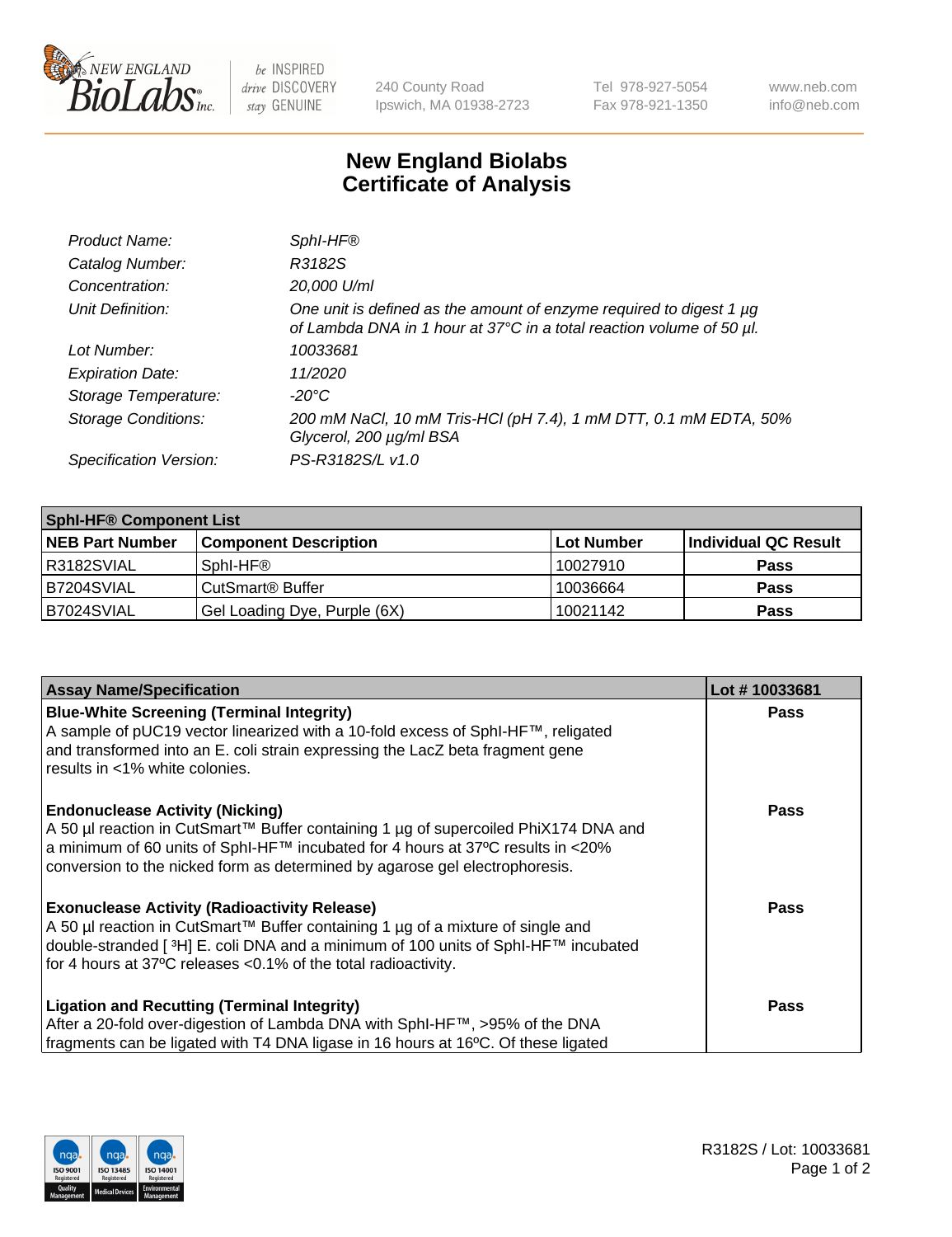

 $be$  INSPIRED drive DISCOVERY stay GENUINE

240 County Road Ipswich, MA 01938-2723 Tel 978-927-5054 Fax 978-921-1350 www.neb.com info@neb.com

## **New England Biolabs Certificate of Analysis**

| Product Name:              | Sphl-HF <sup>®</sup>                                                                                                                             |
|----------------------------|--------------------------------------------------------------------------------------------------------------------------------------------------|
| Catalog Number:            | R3182S                                                                                                                                           |
| Concentration:             | 20,000 U/ml                                                                                                                                      |
| Unit Definition:           | One unit is defined as the amount of enzyme required to digest 1 $\mu$ g<br>of Lambda DNA in 1 hour at 37°C in a total reaction volume of 50 µl. |
| Lot Number:                | 10033681                                                                                                                                         |
| <b>Expiration Date:</b>    | 11/2020                                                                                                                                          |
| Storage Temperature:       | -20°C                                                                                                                                            |
| <b>Storage Conditions:</b> | 200 mM NaCl, 10 mM Tris-HCl (pH 7.4), 1 mM DTT, 0.1 mM EDTA, 50%<br>Glycerol, 200 µg/ml BSA                                                      |
| Specification Version:     | PS-R3182S/L v1.0                                                                                                                                 |

| <b>Sphl-HF® Component List</b> |                              |            |                      |  |  |
|--------------------------------|------------------------------|------------|----------------------|--|--|
| <b>NEB Part Number</b>         | <b>Component Description</b> | Lot Number | Individual QC Result |  |  |
| R3182SVIAL                     | Sphl-HF®                     | 10027910   | <b>Pass</b>          |  |  |
| B7204SVIAL                     | CutSmart <sup>®</sup> Buffer | 10036664   | <b>Pass</b>          |  |  |
| B7024SVIAL                     | Gel Loading Dye, Purple (6X) | 10021142   | <b>Pass</b>          |  |  |

| <b>Assay Name/Specification</b>                                                                                                                                                                                                                                | Lot #10033681 |
|----------------------------------------------------------------------------------------------------------------------------------------------------------------------------------------------------------------------------------------------------------------|---------------|
| <b>Blue-White Screening (Terminal Integrity)</b><br>A sample of pUC19 vector linearized with a 10-fold excess of SphI-HF™, religated                                                                                                                           | <b>Pass</b>   |
| and transformed into an E. coli strain expressing the LacZ beta fragment gene<br>results in <1% white colonies.                                                                                                                                                |               |
| <b>Endonuclease Activity (Nicking)</b>                                                                                                                                                                                                                         | <b>Pass</b>   |
| A 50 µl reaction in CutSmart™ Buffer containing 1 µg of supercoiled PhiX174 DNA and<br>$\alpha$ a minimum of 60 units of SphI-HF™ incubated for 4 hours at 37°C results in <20%<br>conversion to the nicked form as determined by agarose gel electrophoresis. |               |
|                                                                                                                                                                                                                                                                |               |
| <b>Exonuclease Activity (Radioactivity Release)</b><br>  A 50 µl reaction in CutSmart™ Buffer containing 1 µg of a mixture of single and                                                                                                                       | Pass          |
| double-stranded [ <sup>3</sup> H] E. coli DNA and a minimum of 100 units of Sphl-HF™ incubated                                                                                                                                                                 |               |
| for 4 hours at 37°C releases <0.1% of the total radioactivity.                                                                                                                                                                                                 |               |
| <b>Ligation and Recutting (Terminal Integrity)</b>                                                                                                                                                                                                             | <b>Pass</b>   |
| After a 20-fold over-digestion of Lambda DNA with SphI-HF™, >95% of the DNA                                                                                                                                                                                    |               |
| fragments can be ligated with T4 DNA ligase in 16 hours at 16°C. Of these ligated                                                                                                                                                                              |               |